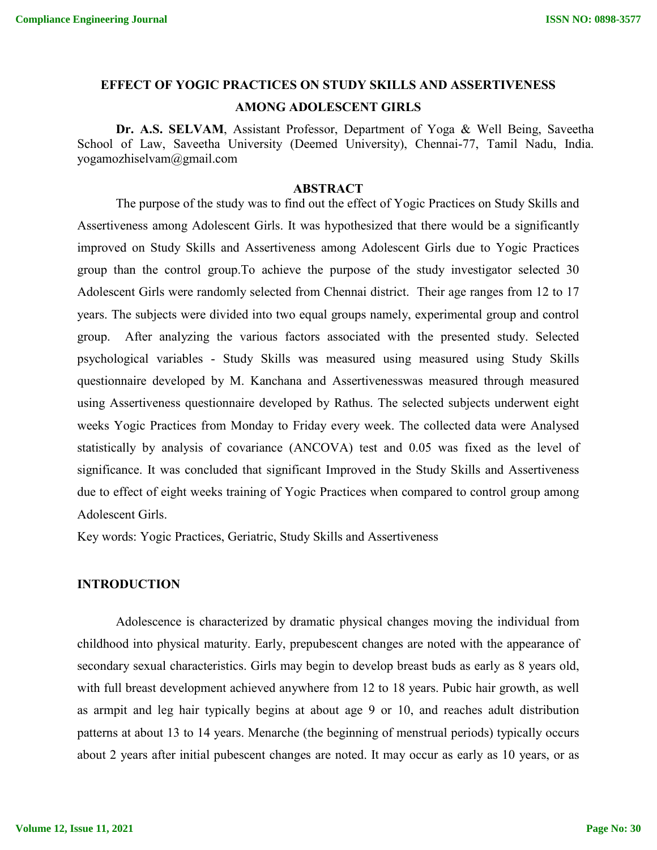# **EFFECT OF YOGIC PRACTICES ON STUDY SKILLS AND ASSERTIVENESS AMONG ADOLESCENT GIRLS**

**Dr. A.S. SELVAM**, Assistant Professor, Department of Yoga & Well Being, Saveetha School of Law, Saveetha University (Deemed University), Chennai-77, Tamil Nadu, India. yogamozhiselvam@gmail.com

#### **ABSTRACT**

The purpose of the study was to find out the effect of Yogic Practices on Study Skills and Assertiveness among Adolescent Girls. It was hypothesized that there would be a significantly improved on Study Skills and Assertiveness among Adolescent Girls due to Yogic Practices group than the control group.To achieve the purpose of the study investigator selected 30 Adolescent Girls were randomly selected from Chennai district. Their age ranges from 12 to 17 years. The subjects were divided into two equal groups namely, experimental group and control group. After analyzing the various factors associated with the presented study. Selected psychological variables - Study Skills was measured using measured using Study Skills questionnaire developed by M. Kanchana and Assertivenesswas measured through measured using Assertiveness questionnaire developed by Rathus. The selected subjects underwent eight weeks Yogic Practices from Monday to Friday every week. The collected data were Analysed statistically by analysis of covariance (ANCOVA) test and 0.05 was fixed as the level of significance. It was concluded that significant Improved in the Study Skills and Assertiveness due to effect of eight weeks training of Yogic Practices when compared to control group among Adolescent Girls.

Key words: Yogic Practices, Geriatric, Study Skills and Assertiveness

#### **INTRODUCTION**

Adolescence is characterized by dramatic physical changes moving the individual from childhood into physical maturity. Early, prepubescent changes are noted with the appearance of secondary sexual characteristics. Girls may begin to develop breast buds as early as 8 years old, with full breast development achieved anywhere from 12 to 18 years. Pubic hair growth, as well as armpit and leg hair typically begins at about age 9 or 10, and reaches adult distribution patterns at about 13 to 14 years. Menarche (the beginning of menstrual periods) typically occurs about 2 years after initial pubescent changes are noted. It may occur as early as 10 years, or as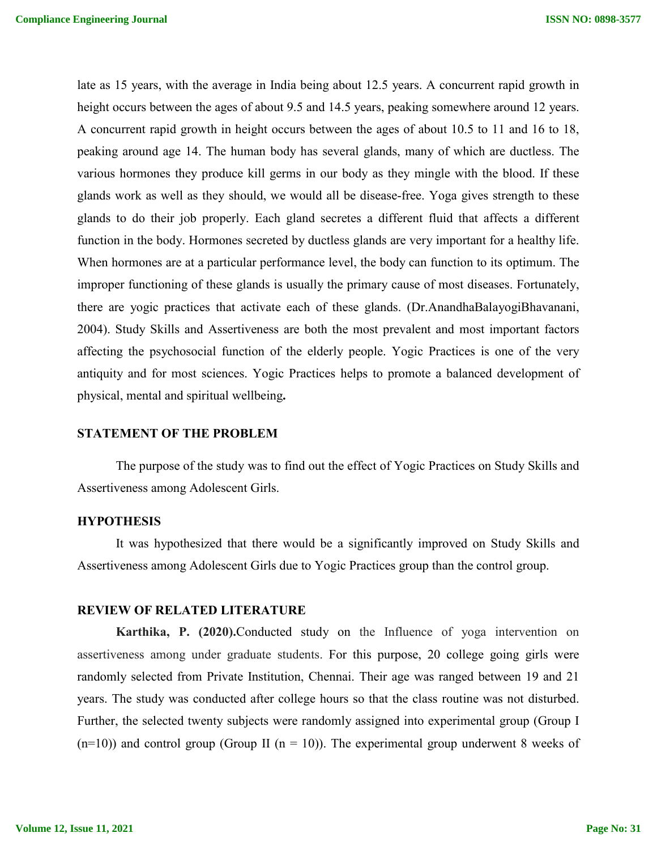late as 15 years, with the average in India being about 12.5 years. A concurrent rapid growth in height occurs between the ages of about 9.5 and 14.5 years, peaking somewhere around 12 years. A concurrent rapid growth in height occurs between the ages of about 10.5 to 11 and 16 to 18, peaking around age 14. The human body has several glands, many of which are ductless. The various hormones they produce kill germs in our body as they mingle with the blood. If these glands work as well as they should, we would all be disease-free. Yoga gives strength to these glands to do their job properly. Each gland secretes a different fluid that affects a different function in the body. Hormones secreted by ductless glands are very important for a healthy life. When hormones are at a particular performance level, the body can function to its optimum. The improper functioning of these glands is usually the primary cause of most diseases. Fortunately, there are yogic practices that activate each of these glands. (Dr.AnandhaBalayogiBhavanani, 2004). Study Skills and Assertiveness are both the most prevalent and most important factors affecting the psychosocial function of the elderly people. Yogic Practices is one of the very antiquity and for most sciences. Yogic Practices helps to promote a balanced development of physical, mental and spiritual wellbeing**.**

#### **STATEMENT OF THE PROBLEM**

The purpose of the study was to find out the effect of Yogic Practices on Study Skills and Assertiveness among Adolescent Girls.

#### **HYPOTHESIS**

It was hypothesized that there would be a significantly improved on Study Skills and Assertiveness among Adolescent Girls due to Yogic Practices group than the control group.

#### **REVIEW OF RELATED LITERATURE**

**Karthika, P. (2020).**Conducted study on the Influence of yoga intervention on assertiveness among under graduate students. For this purpose, 20 college going girls were randomly selected from Private Institution, Chennai. Their age was ranged between 19 and 21 years. The study was conducted after college hours so that the class routine was not disturbed. Further, the selected twenty subjects were randomly assigned into experimental group (Group I  $(n=10)$ ) and control group (Group II  $(n = 10)$ ). The experimental group underwent 8 weeks of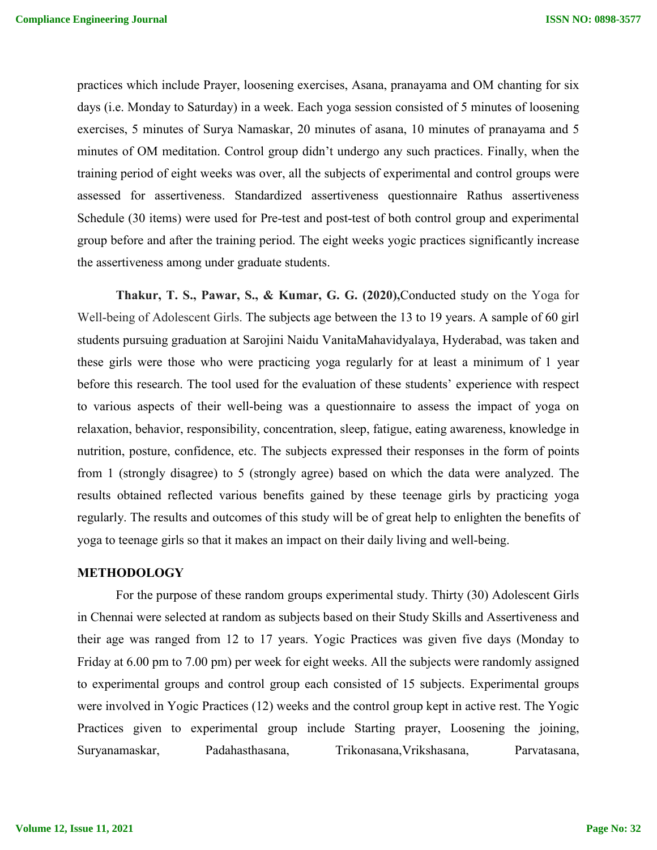practices which include Prayer, loosening exercises, Asana, pranayama and OM chanting for six days (i.e. Monday to Saturday) in a week. Each yoga session consisted of 5 minutes of loosening exercises, 5 minutes of Surya Namaskar, 20 minutes of asana, 10 minutes of pranayama and 5 minutes of OM meditation. Control group didn't undergo any such practices. Finally, when the training period of eight weeks was over, all the subjects of experimental and control groups were assessed for assertiveness. Standardized assertiveness questionnaire Rathus assertiveness Schedule (30 items) were used for Pre-test and post-test of both control group and experimental group before and after the training period. The eight weeks yogic practices significantly increase the assertiveness among under graduate students.

**Thakur, T. S., Pawar, S., & Kumar, G. G. (2020),**Conducted study on the Yoga for Well-being of Adolescent Girls. The subjects age between the 13 to 19 years. A sample of 60 girl students pursuing graduation at Sarojini Naidu VanitaMahavidyalaya, Hyderabad, was taken and these girls were those who were practicing yoga regularly for at least a minimum of 1 year before this research. The tool used for the evaluation of these students' experience with respect to various aspects of their well-being was a questionnaire to assess the impact of yoga on relaxation, behavior, responsibility, concentration, sleep, fatigue, eating awareness, knowledge in nutrition, posture, confidence, etc. The subjects expressed their responses in the form of points from 1 (strongly disagree) to 5 (strongly agree) based on which the data were analyzed. The results obtained reflected various benefits gained by these teenage girls by practicing yoga regularly. The results and outcomes of this study will be of great help to enlighten the benefits of yoga to teenage girls so that it makes an impact on their daily living and well-being.

#### **METHODOLOGY**

For the purpose of these random groups experimental study. Thirty (30) Adolescent Girls in Chennai were selected at random as subjects based on their Study Skills and Assertiveness and their age was ranged from 12 to 17 years. Yogic Practices was given five days (Monday to Friday at 6.00 pm to 7.00 pm) per week for eight weeks. All the subjects were randomly assigned to experimental groups and control group each consisted of 15 subjects. Experimental groups were involved in Yogic Practices (12) weeks and the control group kept in active rest. The Yogic Practices given to experimental group include Starting prayer, Loosening the joining, Suryanamaskar, Padahasthasana, Trikonasana,Vrikshasana, Parvatasana,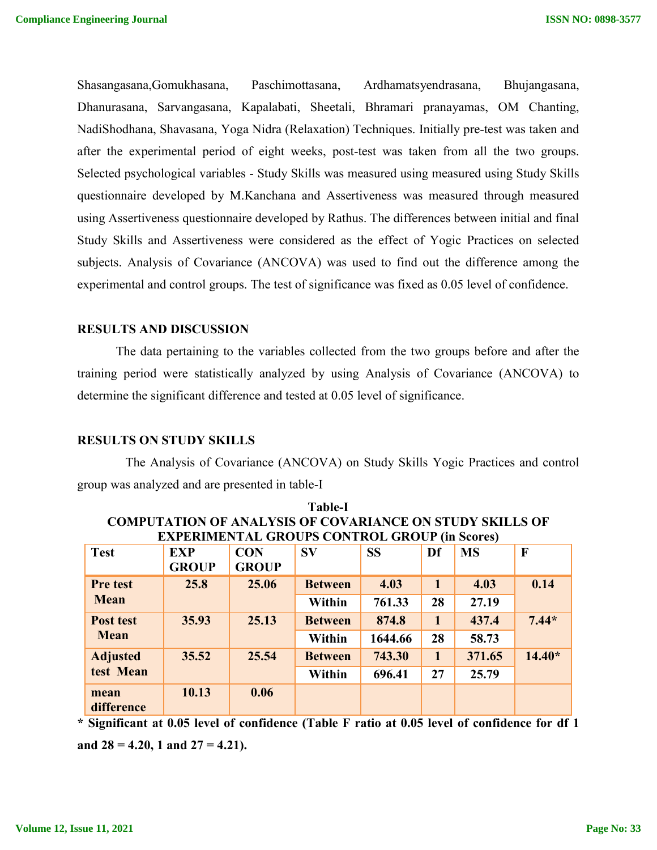Shasangasana,Gomukhasana, Paschimottasana, Ardhamatsyendrasana, Bhujangasana, Dhanurasana, Sarvangasana, Kapalabati, Sheetali, Bhramari pranayamas, OM Chanting, NadiShodhana, Shavasana, Yoga Nidra (Relaxation) Techniques. Initially pre-test was taken and after the experimental period of eight weeks, post-test was taken from all the two groups. Selected psychological variables - Study Skills was measured using measured using Study Skills questionnaire developed by M.Kanchana and Assertiveness was measured through measured using Assertiveness questionnaire developed by Rathus. The differences between initial and final Study Skills and Assertiveness were considered as the effect of Yogic Practices on selected subjects. Analysis of Covariance (ANCOVA) was used to find out the difference among the experimental and control groups. The test of significance was fixed as 0.05 level of confidence.

#### **RESULTS AND DISCUSSION**

The data pertaining to the variables collected from the two groups before and after the training period were statistically analyzed by using Analysis of Covariance (ANCOVA) to determine the significant difference and tested at 0.05 level of significance.

#### **RESULTS ON STUDY SKILLS**

The Analysis of Covariance (ANCOVA) on Study Skills Yogic Practices and control group was analyzed and are presented in table-I

|                    |              | <b>EXPERIMENTAL GROUPS CONTROL GROUP (in Scores)</b> |                |           |              |           |              |
|--------------------|--------------|------------------------------------------------------|----------------|-----------|--------------|-----------|--------------|
| <b>Test</b>        | <b>EXP</b>   | <b>CON</b>                                           | <b>SV</b>      | <b>SS</b> | Df           | <b>MS</b> | $\mathbf{F}$ |
|                    | <b>GROUP</b> | <b>GROUP</b>                                         |                |           |              |           |              |
| <b>Pre test</b>    | 25.8         | 25.06                                                | <b>Between</b> | 4.03      | $\mathbf{1}$ | 4.03      | 0.14         |
| <b>Mean</b>        |              |                                                      | <b>Within</b>  | 761.33    | 28           | 27.19     |              |
| <b>Post test</b>   | 35.93        | 25.13                                                | <b>Between</b> | 874.8     | 1            | 437.4     | $7.44*$      |
| <b>Mean</b>        |              |                                                      | Within         | 1644.66   | 28           | 58.73     |              |
| <b>Adjusted</b>    | 35.52        | 25.54                                                | <b>Between</b> | 743.30    | $\mathbf{1}$ | 371.65    | $14.40*$     |
| test Mean          |              |                                                      | <b>Within</b>  | 696.41    | 27           | 25.79     |              |
| mean<br>difference | 10.13        | 0.06                                                 |                |           |              |           |              |

| <b>Table-I</b>                                                  |
|-----------------------------------------------------------------|
| <b>COMPUTATION OF ANALYSIS OF COVARIANCE ON STUDY SKILLS OF</b> |
| <b>EXPERIMENTAL GROUPS CONTROL GROUP (in Scores)</b>            |

**\* Significant at 0.05 level of confidence (Table F ratio at 0.05 level of confidence for df 1 and 28 = 4.20, 1 and 27 = 4.21).**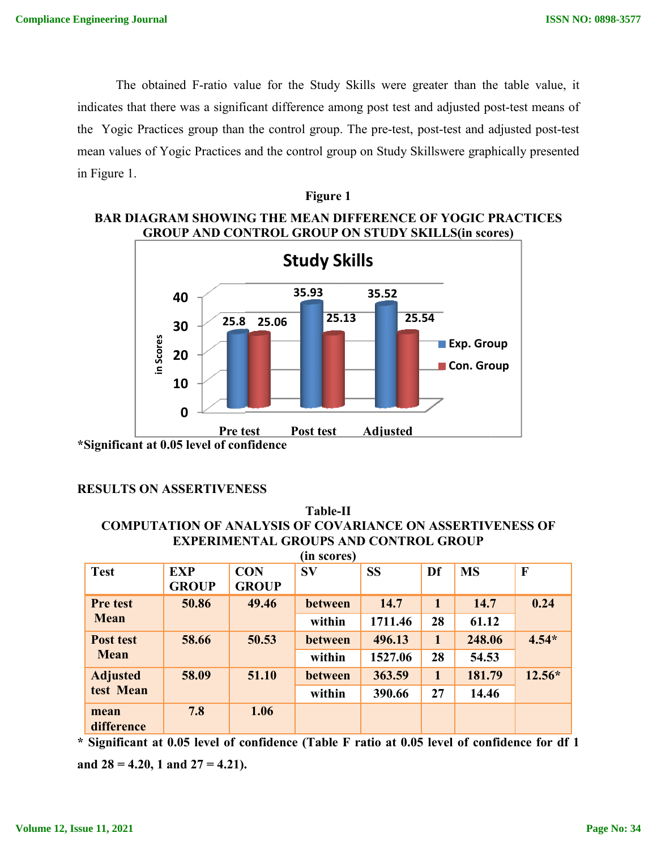The obtained F-ratio value for the Study Skills were greater than the table value, it The obtained F-ratio value for the Study Skills were greater than the table value, it<br>indicates that there was a significant difference among post test and adjusted post-test means of the Yogic Practices group than the control group. The pre-test, post-test and adjusted post-test mean values of Yogic Practices and the control group on Study Skillswere graphically presented in Figure 1. **ISSN NO: 0898-3577**<br>the table value, it<br>d post-test means of<br>d adjusted post-test<br>raphically presented<br>C PRACTICES<br>scores)<br>Sroup<br>Group



# **BAR DIAGRAM SHOWING THE MEAN DIFFERENCE OF YOGIC PRACTICES**

**Figure 1**

#### **RESULTS ON ASSERTIVENESS**

# **COMPUTATION OF ANALYSIS OF COVARIANCE ON ASSERTIVENESS OF EXPERIMENTAL GROUPS AND CONTROL GROUP Table-II**

| <b>Test</b>     | <b>EXP</b><br><b>GROUP</b> | <b>CON</b><br><b>GROUP</b> | <b>SV</b> | <b>SS</b> | Df | <b>MS</b> | F        |
|-----------------|----------------------------|----------------------------|-----------|-----------|----|-----------|----------|
| Pre test        | 50.86                      | 49.46                      | between   | 14.7      |    | 14.7      | 0.24     |
| <b>Mean</b>     |                            |                            | within    | 1711.46   | 28 | 61.12     |          |
| Post test       | 58.66                      | 50.53                      | between   | 496.13    |    | 248.06    | $4.54*$  |
| <b>Mean</b>     |                            |                            | within    | 1527.06   | 28 | 54.53     |          |
| <b>Adjusted</b> | 58.09                      | 51.10                      | between   | 363.59    |    | 181.79    | $12.56*$ |
| test Mean       |                            |                            | within    | 390.66    | 27 | 14.46     |          |
| mean            | 7.8                        | 1.06                       |           |           |    |           |          |
| difference      |                            |                            |           |           |    |           |          |

**and 28 = 4.20, 1 and 27 = 4.21).**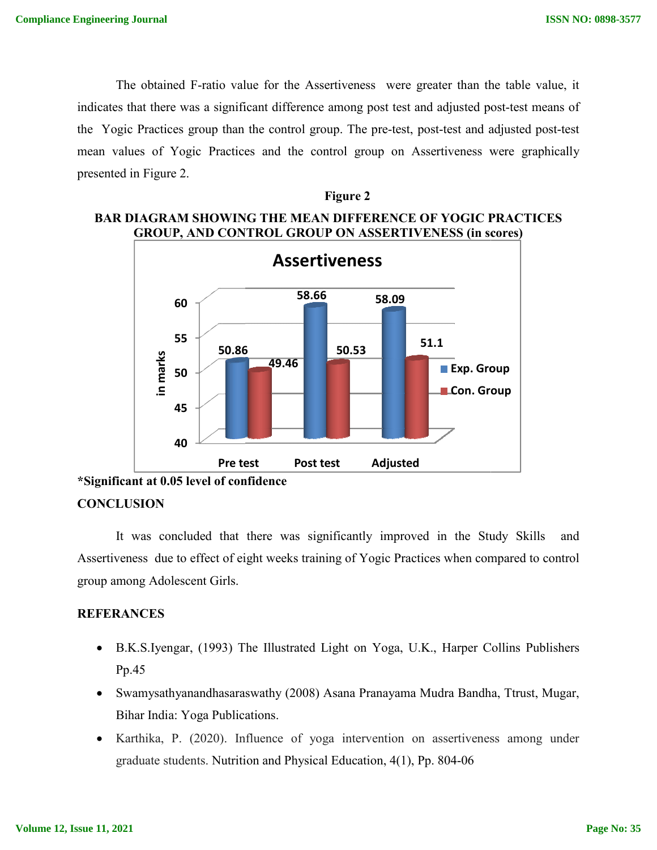The obtained F-ratio value for the Assertiveness were greater than the table value, it indicates that there was a significant difference among post test and adjusted post-test means of The obtained F-ratio value for the Assertiveness were greater than the table value, it<br>indicates that there was a significant difference among post test and adjusted post-test means of<br>the Yogic Practices group than the co mean values of Yogic Practices and the control group on Assertiveness were graphically presented in Figure 2. **ISSN NO: 0898-3577**<br> **Constant Constant Constant Constant Constant Constant Constant Constant Constant Constant Constant Constant Constant Constant Constant Constant Constant Constant Constant Constant Constant Constant C** 



# **BAR DIAGRAM SHOWING THE MEAN DIFFERENCE OF YOGIC PRACTICES GROUP, AND CONTROL GROUP ON ASSERTIVENESS (in scores)**



**<sup>\*</sup>Significant at 0.05 level of confidence**

# **CONCLUSION**

It was concluded that there was significantly improved in the Study Skills and Assertiveness due to effect of eight weeks training of Yogic Practices when compared to control group among Adolescent Girls.

# **REFERANCES**

- B.K.S.Iyengar, (1993) The Illustrated Light on Yoga, U.K., Harper Collins Publishers Pp.45
- Swamysathyanandhasaraswathy (2008) Asana Pranayama Mudra Bandha, Ttrust, Mugar, Bihar India: Yoga Publications.
- Karthika, P. (2020). Influence of yoga intervention on assertiveness among under graduate students. Nutrition and Physical Education, 4(1), Pp. 804-06